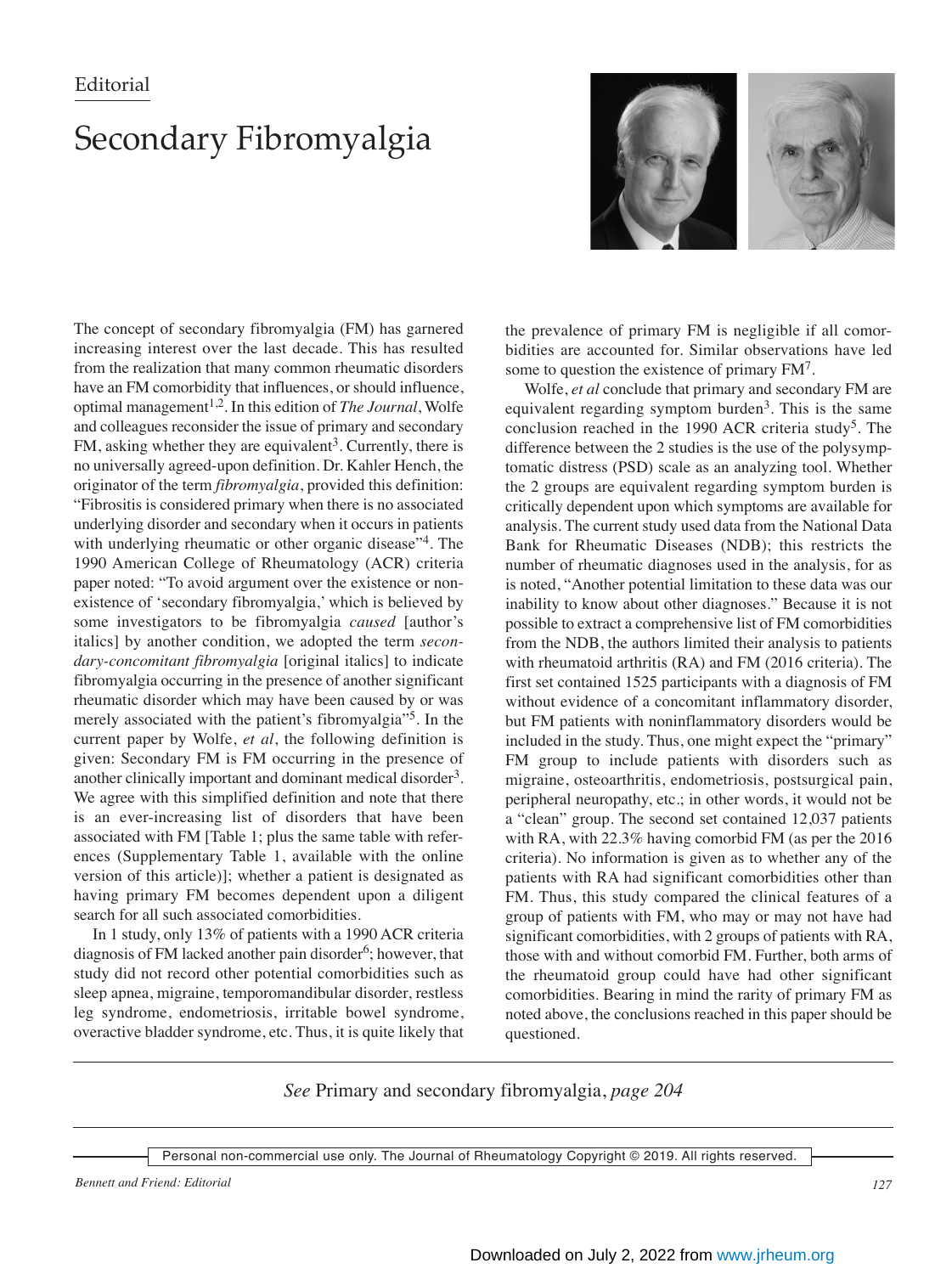## **Editorial**

## Secondary Fibromyalgia



The concept of secondary fibromyalgia (FM) has garnered increasing interest over the last decade. This has resulted from the realization that many common rheumatic disorders have an FM comorbidity that influences, or should influence, optimal management<sup>1,2</sup>. In this edition of *The Journal*, Wolfe and colleagues reconsider the issue of primary and secondary FM, asking whether they are equivalent<sup>3</sup>. Currently, there is no universally agreed-upon definition. Dr. Kahler Hench, the originator of the term *fibromyalgia*, provided this definition: "Fibrositis is considered primary when there is no associated underlying disorder and secondary when it occurs in patients with underlying rheumatic or other organic disease"<sup>4</sup>. The 1990 American College of Rheumatology (ACR) criteria paper noted: "To avoid argument over the existence or nonexistence of 'secondary fibromyalgia,' which is believed by some investigators to be fibromyalgia *caused* [author's italics] by another condition, we adopted the term *secondary-concomitant fibromyalgia* [original italics] to indicate fibromyalgia occurring in the presence of another significant rheumatic disorder which may have been caused by or was merely associated with the patient's fibromyalgia"5. In the current paper by Wolfe, *et al*, the following definition is given: Secondary FM is FM occurring in the presence of another clinically important and dominant medical disorder<sup>3</sup>. We agree with this simplified definition and note that there is an ever-increasing list of disorders that have been associated with FM [Table 1; plus the same table with references (Supplementary Table 1, available with the online version of this article)]; whether a patient is designated as having primary FM becomes dependent upon a diligent search for all such associated comorbidities.

 In 1 study, only 13% of patients with a 1990 ACR criteria diagnosis of FM lacked another pain disorder $6$ ; however, that study did not record other potential comorbidities such as sleep apnea, migraine, temporomandibular disorder, restless leg syndrome, endometriosis, irritable bowel syndrome, overactive bladder syndrome, etc. Thus, it is quite likely that the prevalence of primary FM is negligible if all comorbidities are accounted for. Similar observations have led some to question the existence of primary FM7.

 Wolfe, *et al* conclude that primary and secondary FM are equivalent regarding symptom burden<sup>3</sup>. This is the same conclusion reached in the 1990 ACR criteria study<sup>5</sup>. The difference between the 2 studies is the use of the polysymptomatic distress (PSD) scale as an analyzing tool. Whether the 2 groups are equivalent regarding symptom burden is critically dependent upon which symptoms are available for analysis. The current study used data from the National Data Bank for Rheumatic Diseases (NDB); this restricts the number of rheumatic diagnoses used in the analysis, for as is noted, "Another potential limitation to these data was our inability to know about other diagnoses." Because it is not possible to extract a comprehensive list of FM comorbidities from the NDB, the authors limited their analysis to patients with rheumatoid arthritis (RA) and FM (2016 criteria). The first set contained 1525 participants with a diagnosis of FM without evidence of a concomitant inflammatory disorder, but FM patients with noninflammatory disorders would be included in the study. Thus, one might expect the "primary" FM group to include patients with disorders such as migraine, osteoarthritis, endometriosis, postsurgical pain, peripheral neuropathy, etc.; in other words, it would not be a "clean" group. The second set contained 12,037 patients with RA, with 22.3% having comorbid FM (as per the 2016 criteria). No information is given as to whether any of the patients with RA had significant comorbidities other than FM. Thus, this study compared the clinical features of a group of patients with FM, who may or may not have had significant comorbidities, with 2 groups of patients with RA, those with and without comorbid FM. Further, both arms of the rheumatoid group could have had other significant comorbidities. Bearing in mind the rarity of primary FM as noted above, the conclusions reached in this paper should be questioned.

*See* Primary and secondary fibromyalgia, *page 204*

Personal non-commercial use only. The Journal of Rheumatology Copyright © 2019. All rights reserved.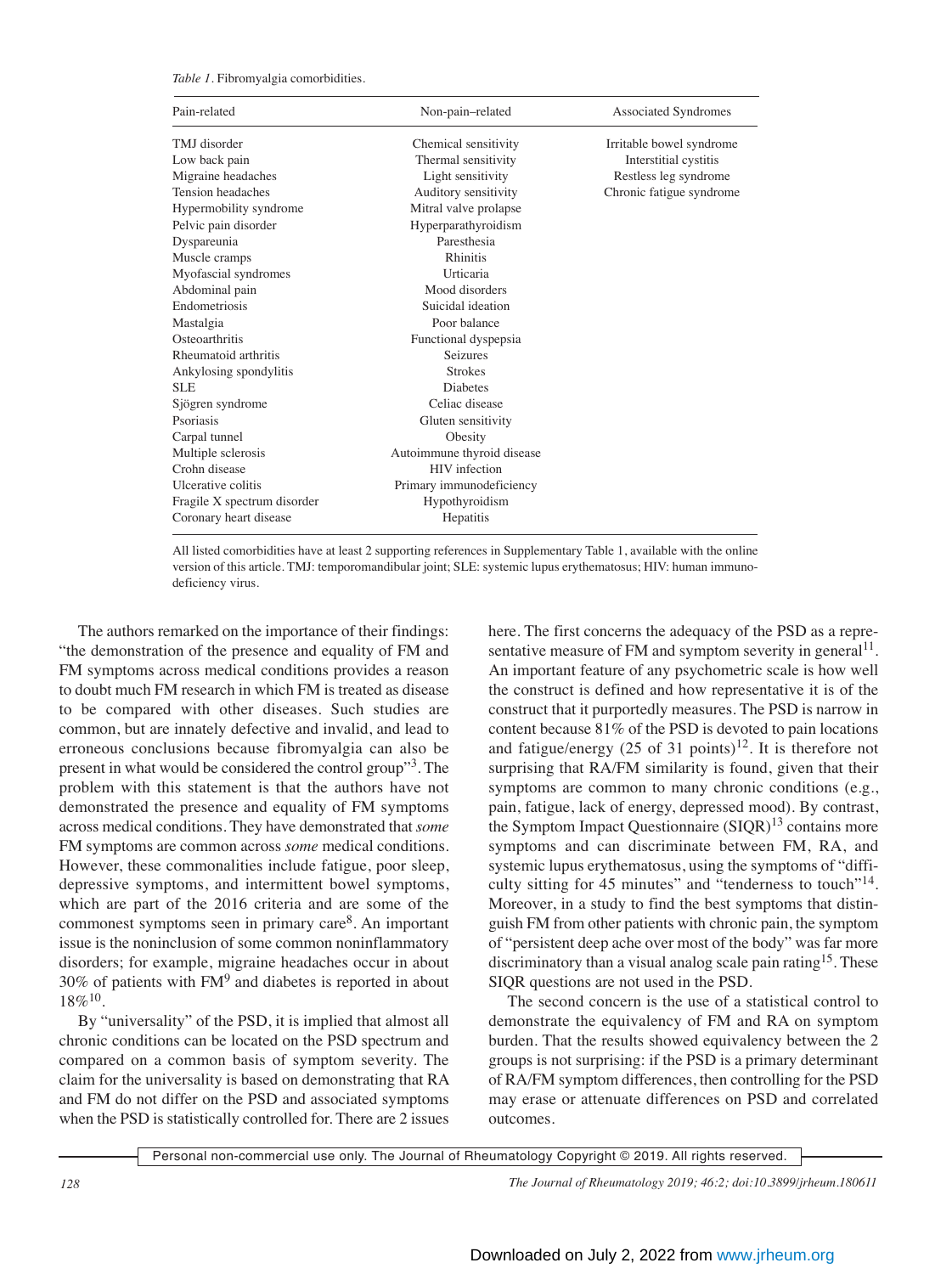*Table 1.* Fibromyalgia comorbidities.

| Pain-related                | Non-pain-related           | Associated Syndromes     |
|-----------------------------|----------------------------|--------------------------|
| TMJ disorder                | Chemical sensitivity       | Irritable bowel syndrome |
| Low back pain               | Thermal sensitivity        | Interstitial cystitis    |
| Migraine headaches          | Light sensitivity          | Restless leg syndrome    |
| Tension headaches           | Auditory sensitivity       | Chronic fatigue syndrome |
| Hypermobility syndrome      | Mitral valve prolapse      |                          |
| Pelvic pain disorder        | Hyperparathyroidism        |                          |
| Dyspareunia                 | Paresthesia                |                          |
| Muscle cramps               | <b>Rhinitis</b>            |                          |
| Myofascial syndromes        | Urticaria                  |                          |
| Abdominal pain              | Mood disorders             |                          |
| Endometriosis               | Suicidal ideation          |                          |
| Mastalgia                   | Poor balance               |                          |
| Osteoarthritis              | Functional dyspepsia       |                          |
| Rheumatoid arthritis        | <b>Seizures</b>            |                          |
| Ankylosing spondylitis      | <b>Strokes</b>             |                          |
| <b>SLE</b>                  | <b>Diabetes</b>            |                          |
| Sjögren syndrome            | Celiac disease             |                          |
| Psoriasis                   | Gluten sensitivity         |                          |
| Carpal tunnel               | Obesity                    |                          |
| Multiple sclerosis          | Autoimmune thyroid disease |                          |
| Crohn disease               | HIV infection              |                          |
| Ulcerative colitis          | Primary immunodeficiency   |                          |
| Fragile X spectrum disorder | Hypothyroidism             |                          |
| Coronary heart disease      | Hepatitis                  |                          |

All listed comorbidities have at least 2 supporting references in Supplementary Table 1, available with the online version of this article. TMJ: temporomandibular joint; SLE: systemic lupus erythematosus; HIV: human immunodeficiency virus.

 The authors remarked on the importance of their findings: "the demonstration of the presence and equality of FM and FM symptoms across medical conditions provides a reason to doubt much FM research in which FM is treated as disease to be compared with other diseases. Such studies are common, but are innately defective and invalid, and lead to erroneous conclusions because fibromyalgia can also be present in what would be considered the control group"3. The problem with this statement is that the authors have not demonstrated the presence and equality of FM symptoms across medical conditions. They have demonstrated that *some* FM symptoms are common across *some* medical conditions. However, these commonalities include fatigue, poor sleep, depressive symptoms, and intermittent bowel symptoms, which are part of the 2016 criteria and are some of the commonest symptoms seen in primary care8. An important issue is the noninclusion of some common noninflammatory disorders; for example, migraine headaches occur in about  $30\%$  of patients with  $FM<sup>9</sup>$  and diabetes is reported in about  $18\%^{10}$ .

 By "universality" of the PSD, it is implied that almost all chronic conditions can be located on the PSD spectrum and compared on a common basis of symptom severity. The claim for the universality is based on demonstrating that RA and FM do not differ on the PSD and associated symptoms when the PSD is statistically controlled for. There are 2 issues here. The first concerns the adequacy of the PSD as a representative measure of FM and symptom severity in general<sup>11</sup>. An important feature of any psychometric scale is how well the construct is defined and how representative it is of the construct that it purportedly measures. The PSD is narrow in content because 81% of the PSD is devoted to pain locations and fatigue/energy  $(25 \text{ of } 31 \text{ points})^{12}$ . It is therefore not surprising that RA/FM similarity is found, given that their symptoms are common to many chronic conditions (e.g., pain, fatigue, lack of energy, depressed mood). By contrast, the Symptom Impact Questionnaire (SIQR)<sup>13</sup> contains more symptoms and can discriminate between FM, RA, and systemic lupus erythematosus, using the symptoms of "difficulty sitting for 45 minutes" and "tenderness to touch"14. Moreover, in a study to find the best symptoms that distinguish FM from other patients with chronic pain, the symptom of "persistent deep ache over most of the body" was far more discriminatory than a visual analog scale pain rating<sup>15</sup>. These SIQR questions are not used in the PSD.

 The second concern is the use of a statistical control to demonstrate the equivalency of FM and RA on symptom burden. That the results showed equivalency between the 2 groups is not surprising: if the PSD is a primary determinant of RA/FM symptom differences, then controlling for the PSD may erase or attenuate differences on PSD and correlated outcomes.

Personal non-commercial use only. The Journal of Rheumatology Copyright © 2019. All rights reserved.

*128 The Journal of Rheumatology 2019; 46:2; doi:10.3899/jrheum.180611*